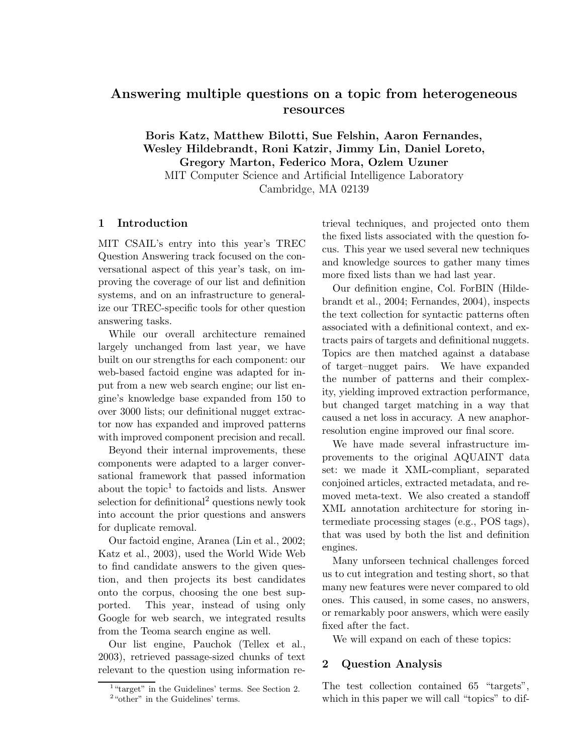# Answering multiple questions on a topic from heterogeneous resources

Boris Katz, Matthew Bilotti, Sue Felshin, Aaron Fernandes, Wesley Hildebrandt, Roni Katzir, Jimmy Lin, Daniel Loreto, Gregory Marton, Federico Mora, Ozlem Uzuner MIT Computer Science and Artificial Intelligence Laboratory Cambridge, MA 02139

# 1 Introduction

MIT CSAIL's entry into this year's TREC Question Answering track focused on the conversational aspect of this year's task, on improving the coverage of our list and definition systems, and on an infrastructure to generalize our TREC-specific tools for other question answering tasks.

While our overall architecture remained largely unchanged from last year, we have built on our strengths for each component: our web-based factoid engine was adapted for input from a new web search engine; our list engine's knowledge base expanded from 150 to over 3000 lists; our definitional nugget extractor now has expanded and improved patterns with improved component precision and recall.

Beyond their internal improvements, these components were adapted to a larger conversational framework that passed information about the topic<sup>1</sup> to factoids and lists. Answer selection for definitional<sup>2</sup> questions newly took into account the prior questions and answers for duplicate removal.

Our factoid engine, Aranea (Lin et al., 2002; Katz et al., 2003), used the World Wide Web to find candidate answers to the given question, and then projects its best candidates onto the corpus, choosing the one best supported. This year, instead of using only Google for web search, we integrated results from the Teoma search engine as well.

Our list engine, Pauchok (Tellex et al., 2003), retrieved passage-sized chunks of text relevant to the question using information retrieval techniques, and projected onto them the fixed lists associated with the question focus. This year we used several new techniques and knowledge sources to gather many times more fixed lists than we had last year.

Our definition engine, Col. ForBIN (Hildebrandt et al., 2004; Fernandes, 2004), inspects the text collection for syntactic patterns often associated with a definitional context, and extracts pairs of targets and definitional nuggets. Topics are then matched against a database of target–nugget pairs. We have expanded the number of patterns and their complexity, yielding improved extraction performance, but changed target matching in a way that caused a net loss in accuracy. A new anaphorresolution engine improved our final score.

We have made several infrastructure improvements to the original AQUAINT data set: we made it XML-compliant, separated conjoined articles, extracted metadata, and removed meta-text. We also created a standoff XML annotation architecture for storing intermediate processing stages (e.g., POS tags), that was used by both the list and definition engines.

Many unforseen technical challenges forced us to cut integration and testing short, so that many new features were never compared to old ones. This caused, in some cases, no answers, or remarkably poor answers, which were easily fixed after the fact.

We will expand on each of these topics:

### 2 Question Analysis

The test collection contained 65 "targets", which in this paper we will call "topics" to dif-

<sup>&</sup>lt;sup>1</sup> "target" in the Guidelines' terms. See Section 2. <sup>2</sup> "other" in the Guidelines' terms.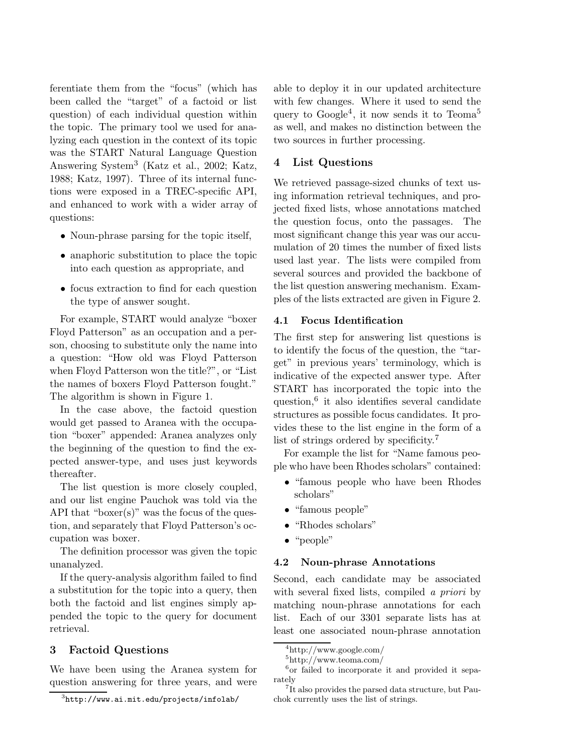ferentiate them from the "focus" (which has been called the "target" of a factoid or list question) of each individual question within the topic. The primary tool we used for analyzing each question in the context of its topic was the START Natural Language Question Answering System<sup>3</sup> (Katz et al., 2002; Katz, 1988; Katz, 1997). Three of its internal functions were exposed in a TREC-specific API, and enhanced to work with a wider array of questions:

- Noun-phrase parsing for the topic itself,
- anaphoric substitution to place the topic into each question as appropriate, and
- focus extraction to find for each question the type of answer sought.

For example, START would analyze "boxer Floyd Patterson" as an occupation and a person, choosing to substitute only the name into a question: "How old was Floyd Patterson when Floyd Patterson won the title?", or "List the names of boxers Floyd Patterson fought." The algorithm is shown in Figure 1.

In the case above, the factoid question would get passed to Aranea with the occupation "boxer" appended: Aranea analyzes only the beginning of the question to find the expected answer-type, and uses just keywords thereafter.

The list question is more closely coupled, and our list engine Pauchok was told via the API that "boxer(s)" was the focus of the question, and separately that Floyd Patterson's occupation was boxer.

The definition processor was given the topic unanalyzed.

If the query-analysis algorithm failed to find a substitution for the topic into a query, then both the factoid and list engines simply appended the topic to the query for document retrieval.

### 3 Factoid Questions

We have been using the Aranea system for question answering for three years, and were able to deploy it in our updated architecture with few changes. Where it used to send the query to Google<sup>4</sup>, it now sends it to Teoma<sup>5</sup> as well, and makes no distinction between the two sources in further processing.

### 4 List Questions

We retrieved passage-sized chunks of text using information retrieval techniques, and projected fixed lists, whose annotations matched the question focus, onto the passages. The most significant change this year was our accumulation of 20 times the number of fixed lists used last year. The lists were compiled from several sources and provided the backbone of the list question answering mechanism. Examples of the lists extracted are given in Figure 2.

### 4.1 Focus Identification

The first step for answering list questions is to identify the focus of the question, the "target" in previous years' terminology, which is indicative of the expected answer type. After START has incorporated the topic into the question,<sup>6</sup> it also identifies several candidate structures as possible focus candidates. It provides these to the list engine in the form of a list of strings ordered by specificity.<sup>7</sup>

For example the list for "Name famous people who have been Rhodes scholars" contained:

- "famous people who have been Rhodes scholars"
- "famous people"
- "Rhodes scholars"
- "people"

#### 4.2 Noun-phrase Annotations

Second, each candidate may be associated with several fixed lists, compiled a *priori* by matching noun-phrase annotations for each list. Each of our 3301 separate lists has at least one associated noun-phrase annotation

 $^3$ http://www.ai.mit.edu/projects/infolab/

<sup>4</sup>http://www.google.com/

<sup>5</sup>http://www.teoma.com/

<sup>6</sup> or failed to incorporate it and provided it separately

<sup>&</sup>lt;sup>7</sup>It also provides the parsed data structure, but Pauchok currently uses the list of strings.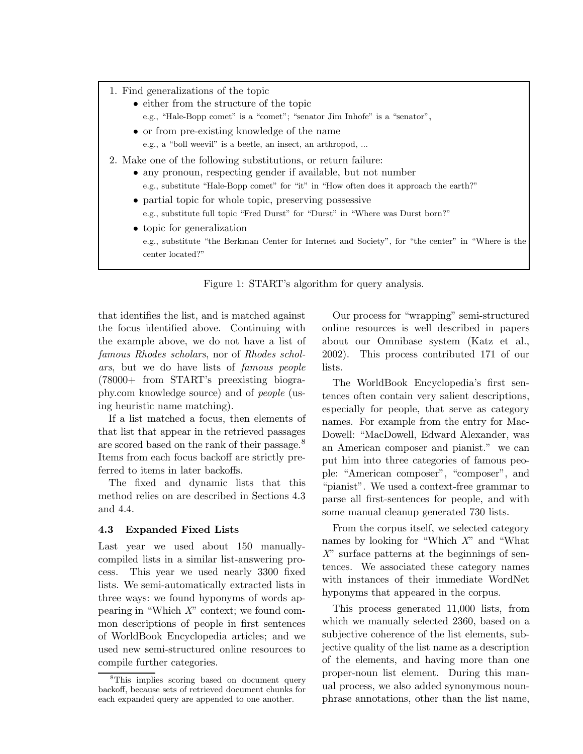- 1. Find generalizations of the topic
	- either from the structure of the topic
		- e.g., "Hale-Bopp comet" is a "comet"; "senator Jim Inhofe" is a "senator",
	- or from pre-existing knowledge of the name e.g., a "boll weevil" is a beetle, an insect, an arthropod, ...
- 2. Make one of the following substitutions, or return failure:
	- any pronoun, respecting gender if available, but not number e.g., substitute "Hale-Bopp comet" for "it" in "How often does it approach the earth?"
	- partial topic for whole topic, preserving possessive e.g., substitute full topic "Fred Durst" for "Durst" in "Where was Durst born?"
	- topic for generalization e.g., substitute "the Berkman Center for Internet and Society", for "the center" in "Where is the center located?"

Figure 1: START's algorithm for query analysis.

that identifies the list, and is matched against the focus identified above. Continuing with the example above, we do not have a list of famous Rhodes scholars, nor of Rhodes scholars, but we do have lists of famous people (78000+ from START's preexisting biography.com knowledge source) and of people (using heuristic name matching).

If a list matched a focus, then elements of that list that appear in the retrieved passages are scored based on the rank of their passage.<sup>8</sup> Items from each focus backoff are strictly preferred to items in later backoffs.

The fixed and dynamic lists that this method relies on are described in Sections 4.3 and 4.4.

#### 4.3 Expanded Fixed Lists

Last year we used about 150 manuallycompiled lists in a similar list-answering process. This year we used nearly 3300 fixed lists. We semi-automatically extracted lists in three ways: we found hyponyms of words appearing in "Which  $X$ " context; we found common descriptions of people in first sentences of WorldBook Encyclopedia articles; and we used new semi-structured online resources to compile further categories.

Our process for "wrapping" semi-structured online resources is well described in papers about our Omnibase system (Katz et al., 2002). This process contributed 171 of our lists.

The WorldBook Encyclopedia's first sentences often contain very salient descriptions, especially for people, that serve as category names. For example from the entry for Mac-Dowell: "MacDowell, Edward Alexander, was an American composer and pianist." we can put him into three categories of famous people: "American composer", "composer", and "pianist". We used a context-free grammar to parse all first-sentences for people, and with some manual cleanup generated 730 lists.

From the corpus itself, we selected category names by looking for "Which X" and "What  $X^{\prime\prime}$  surface patterns at the beginnings of sentences. We associated these category names with instances of their immediate WordNet hyponyms that appeared in the corpus.

This process generated 11,000 lists, from which we manually selected 2360, based on a subjective coherence of the list elements, subjective quality of the list name as a description of the elements, and having more than one proper-noun list element. During this manual process, we also added synonymous nounphrase annotations, other than the list name,

<sup>&</sup>lt;sup>8</sup>This implies scoring based on document query backoff, because sets of retrieved document chunks for each expanded query are appended to one another.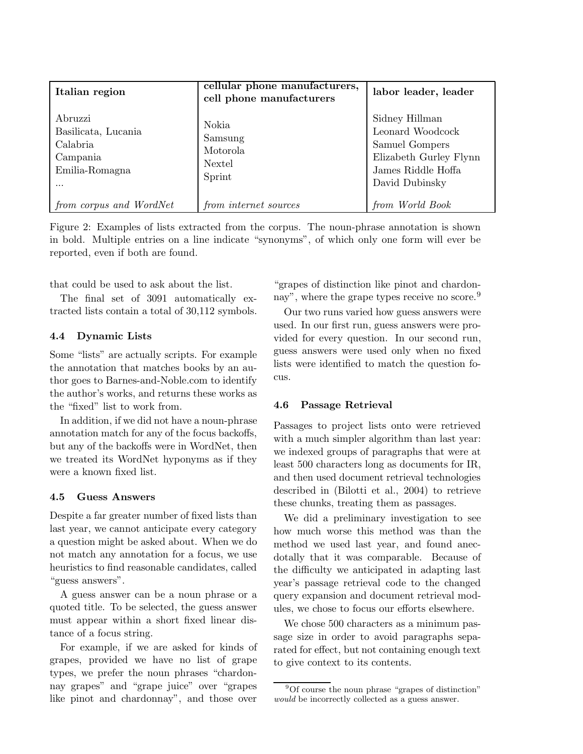| Italian region                                                                       | cellular phone manufacturers,<br>cell phone manufacturers | labor leader, leader                                                                                                   |
|--------------------------------------------------------------------------------------|-----------------------------------------------------------|------------------------------------------------------------------------------------------------------------------------|
| Abruzzi<br>Basilicata, Lucania<br>Calabria<br>Campania<br>Emilia-Romagna<br>$\cdots$ | Nokia<br>Samsung<br>Motorola<br>Nextel<br>Sprint          | Sidney Hillman<br>Leonard Woodcock<br>Samuel Gompers<br>Elizabeth Gurley Flynn<br>James Riddle Hoffa<br>David Dubinsky |
| from corpus and WordNet                                                              | from internet sources                                     | from World Book                                                                                                        |

Figure 2: Examples of lists extracted from the corpus. The noun-phrase annotation is shown in bold. Multiple entries on a line indicate "synonyms", of which only one form will ever be reported, even if both are found.

that could be used to ask about the list.

The final set of 3091 automatically extracted lists contain a total of 30,112 symbols.

### 4.4 Dynamic Lists

Some "lists" are actually scripts. For example the annotation that matches books by an author goes to Barnes-and-Noble.com to identify the author's works, and returns these works as the "fixed" list to work from.

In addition, if we did not have a noun-phrase annotation match for any of the focus backoffs, but any of the backoffs were in WordNet, then we treated its WordNet hyponyms as if they were a known fixed list.

### 4.5 Guess Answers

Despite a far greater number of fixed lists than last year, we cannot anticipate every category a question might be asked about. When we do not match any annotation for a focus, we use heuristics to find reasonable candidates, called "guess answers".

A guess answer can be a noun phrase or a quoted title. To be selected, the guess answer must appear within a short fixed linear distance of a focus string.

For example, if we are asked for kinds of grapes, provided we have no list of grape types, we prefer the noun phrases "chardonnay grapes" and "grape juice" over "grapes like pinot and chardonnay", and those over

"grapes of distinction like pinot and chardonnay", where the grape types receive no score.<sup>9</sup>

Our two runs varied how guess answers were used. In our first run, guess answers were provided for every question. In our second run, guess answers were used only when no fixed lists were identified to match the question focus.

#### 4.6 Passage Retrieval

Passages to project lists onto were retrieved with a much simpler algorithm than last year: we indexed groups of paragraphs that were at least 500 characters long as documents for IR, and then used document retrieval technologies described in (Bilotti et al., 2004) to retrieve these chunks, treating them as passages.

We did a preliminary investigation to see how much worse this method was than the method we used last year, and found anecdotally that it was comparable. Because of the difficulty we anticipated in adapting last year's passage retrieval code to the changed query expansion and document retrieval modules, we chose to focus our efforts elsewhere.

We chose 500 characters as a minimum passage size in order to avoid paragraphs separated for effect, but not containing enough text to give context to its contents.

<sup>&</sup>lt;sup>9</sup>Of course the noun phrase "grapes of distinction" would be incorrectly collected as a guess answer.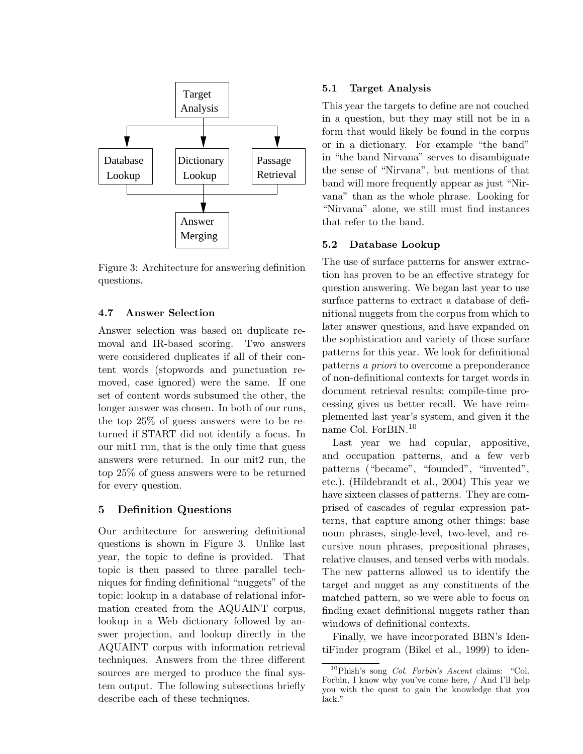

Figure 3: Architecture for answering definition questions.

# 4.7 Answer Selection

Answer selection was based on duplicate removal and IR-based scoring. Two answers were considered duplicates if all of their content words (stopwords and punctuation removed, case ignored) were the same. If one set of content words subsumed the other, the longer answer was chosen. In both of our runs, the top 25% of guess answers were to be returned if START did not identify a focus. In our mit1 run, that is the only time that guess answers were returned. In our mit2 run, the top 25% of guess answers were to be returned for every question.

# 5 Definition Questions

Our architecture for answering definitional questions is shown in Figure 3. Unlike last year, the topic to define is provided. That topic is then passed to three parallel techniques for finding definitional "nuggets" of the topic: lookup in a database of relational information created from the AQUAINT corpus, lookup in a Web dictionary followed by answer projection, and lookup directly in the AQUAINT corpus with information retrieval techniques. Answers from the three different sources are merged to produce the final system output. The following subsections briefly describe each of these techniques.

### 5.1 Target Analysis

This year the targets to define are not couched in a question, but they may still not be in a form that would likely be found in the corpus or in a dictionary. For example "the band" in "the band Nirvana" serves to disambiguate the sense of "Nirvana", but mentions of that band will more frequently appear as just "Nirvana" than as the whole phrase. Looking for "Nirvana" alone, we still must find instances that refer to the band.

# 5.2 Database Lookup

The use of surface patterns for answer extraction has proven to be an effective strategy for question answering. We began last year to use surface patterns to extract a database of definitional nuggets from the corpus from which to later answer questions, and have expanded on the sophistication and variety of those surface patterns for this year. We look for definitional patterns a priori to overcome a preponderance of non-definitional contexts for target words in document retrieval results; compile-time processing gives us better recall. We have reimplemented last year's system, and given it the name Col. ForBIN.<sup>10</sup>

Last year we had copular, appositive, and occupation patterns, and a few verb patterns ("became", "founded", "invented", etc.). (Hildebrandt et al., 2004) This year we have sixteen classes of patterns. They are comprised of cascades of regular expression patterns, that capture among other things: base noun phrases, single-level, two-level, and recursive noun phrases, prepositional phrases, relative clauses, and tensed verbs with modals. The new patterns allowed us to identify the target and nugget as any constituents of the matched pattern, so we were able to focus on finding exact definitional nuggets rather than windows of definitional contexts.

Finally, we have incorporated BBN's IdentiFinder program (Bikel et al., 1999) to iden-

 $10P$ hish's song *Col. Forbin's Ascent* claims: "Col. Forbin, I know why you've come here, / And I'll help you with the quest to gain the knowledge that you lack."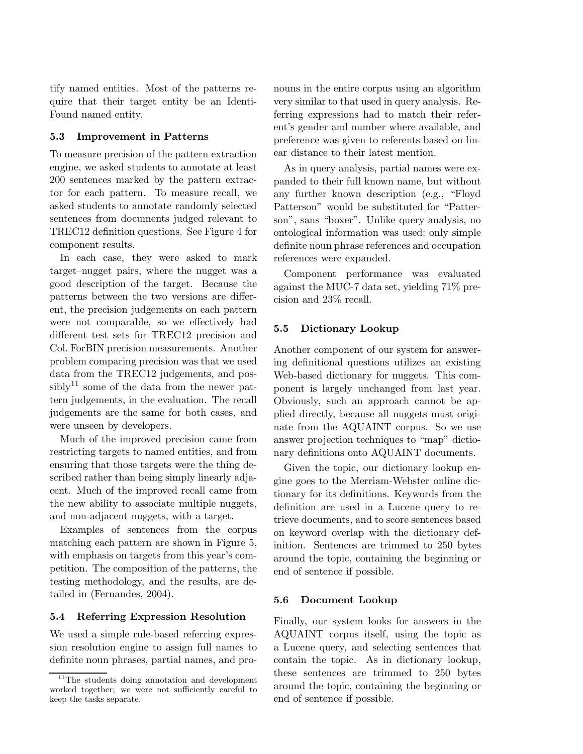tify named entities. Most of the patterns require that their target entity be an Identi-Found named entity.

### 5.3 Improvement in Patterns

To measure precision of the pattern extraction engine, we asked students to annotate at least 200 sentences marked by the pattern extractor for each pattern. To measure recall, we asked students to annotate randomly selected sentences from documents judged relevant to TREC12 definition questions. See Figure 4 for component results.

In each case, they were asked to mark target–nugget pairs, where the nugget was a good description of the target. Because the patterns between the two versions are different, the precision judgements on each pattern were not comparable, so we effectively had different test sets for TREC12 precision and Col. ForBIN precision measurements. Another problem comparing precision was that we used data from the TREC12 judgements, and possibly<sup>11</sup> some of the data from the newer pattern judgements, in the evaluation. The recall judgements are the same for both cases, and were unseen by developers.

Much of the improved precision came from restricting targets to named entities, and from ensuring that those targets were the thing described rather than being simply linearly adjacent. Much of the improved recall came from the new ability to associate multiple nuggets, and non-adjacent nuggets, with a target.

Examples of sentences from the corpus matching each pattern are shown in Figure 5, with emphasis on targets from this year's competition. The composition of the patterns, the testing methodology, and the results, are detailed in (Fernandes, 2004).

### 5.4 Referring Expression Resolution

We used a simple rule-based referring expression resolution engine to assign full names to definite noun phrases, partial names, and pronouns in the entire corpus using an algorithm very similar to that used in query analysis. Referring expressions had to match their referent's gender and number where available, and preference was given to referents based on linear distance to their latest mention.

As in query analysis, partial names were expanded to their full known name, but without any further known description (e.g., "Floyd Patterson" would be substituted for "Patterson", sans "boxer". Unlike query analysis, no ontological information was used: only simple definite noun phrase references and occupation references were expanded.

Component performance was evaluated against the MUC-7 data set, yielding 71% precision and 23% recall.

### 5.5 Dictionary Lookup

Another component of our system for answering definitional questions utilizes an existing Web-based dictionary for nuggets. This component is largely unchanged from last year. Obviously, such an approach cannot be applied directly, because all nuggets must originate from the AQUAINT corpus. So we use answer projection techniques to "map" dictionary definitions onto AQUAINT documents.

Given the topic, our dictionary lookup engine goes to the Merriam-Webster online dictionary for its definitions. Keywords from the definition are used in a Lucene query to retrieve documents, and to score sentences based on keyword overlap with the dictionary definition. Sentences are trimmed to 250 bytes around the topic, containing the beginning or end of sentence if possible.

#### 5.6 Document Lookup

Finally, our system looks for answers in the AQUAINT corpus itself, using the topic as a Lucene query, and selecting sentences that contain the topic. As in dictionary lookup, these sentences are trimmed to 250 bytes around the topic, containing the beginning or end of sentence if possible.

 $^{11}\mathrm{The}$  students doing annotation and development worked together; we were not sufficiently careful to keep the tasks separate.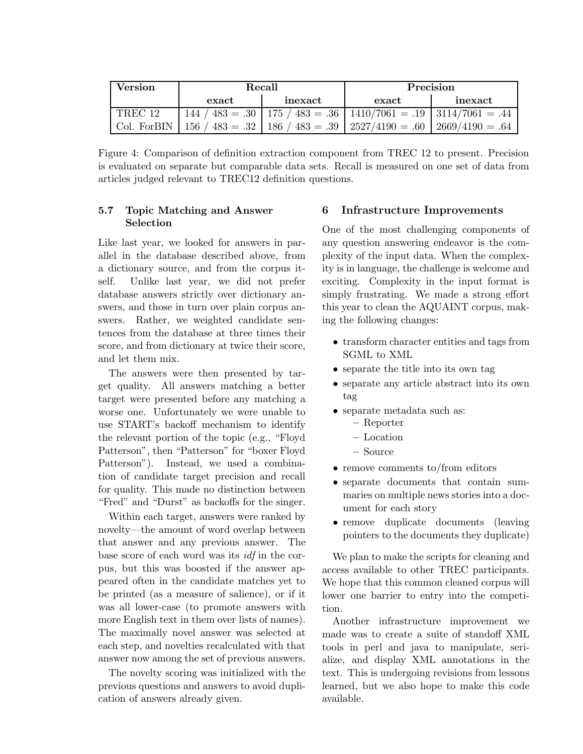| Version     | Recall |         | Precision                                                               |         |
|-------------|--------|---------|-------------------------------------------------------------------------|---------|
|             | exact  | inexact | exact                                                                   | inexact |
| TREC 12     |        |         | $144 / 483 = .30   175 / 483 = .36   1410/7061 = .19   3114/7061 = .44$ |         |
| Col. ForBIN |        |         | 156   483 = .32   186   483 = .39   2527/4190 = .60   2669/4190 = .64   |         |

Figure 4: Comparison of definition extraction component from TREC 12 to present. Precision is evaluated on separate but comparable data sets. Recall is measured on one set of data from articles judged relevant to TREC12 definition questions.

# 5.7 Topic Matching and Answer Selection

Like last year, we looked for answers in parallel in the database described above, from a dictionary source, and from the corpus itself. Unlike last year, we did not prefer database answers strictly over dictionary answers, and those in turn over plain corpus answers. Rather, we weighted candidate sentences from the database at three times their score, and from dictionary at twice their score, and let them mix.

The answers were then presented by target quality. All answers matching a better target were presented before any matching a worse one. Unfortunately we were unable to use START's backoff mechanism to identify the relevant portion of the topic (e.g., "Floyd Patterson", then "Patterson" for "boxer Floyd Patterson"). Instead, we used a combination of candidate target precision and recall for quality. This made no distinction between "Fred" and "Durst" as backoffs for the singer.

Within each target, answers were ranked by novelty—the amount of word overlap between that answer and any previous answer. The base score of each word was its idf in the corpus, but this was boosted if the answer appeared often in the candidate matches yet to be printed (as a measure of salience), or if it was all lower-case (to promote answers with more English text in them over lists of names). The maximally novel answer was selected at each step, and novelties recalculated with that answer now among the set of previous answers.

The novelty scoring was initialized with the previous questions and answers to avoid duplication of answers already given.

# 6 Infrastructure Improvements

One of the most challenging components of any question answering endeavor is the complexity of the input data. When the complexity is in language, the challenge is welcome and exciting. Complexity in the input format is simply frustrating. We made a strong effort this year to clean the AQUAINT corpus, making the following changes:

- transform character entities and tags from SGML to XML
- separate the title into its own tag
- separate any article abstract into its own tag
- separate metadata such as:
	- Reporter
	- Location
	- Source
- remove comments to/from editors
- separate documents that contain summaries on multiple news stories into a document for each story
- remove duplicate documents (leaving pointers to the documents they duplicate)

We plan to make the scripts for cleaning and access available to other TREC participants. We hope that this common cleaned corpus will lower one barrier to entry into the competition.

Another infrastructure improvement we made was to create a suite of standoff XML tools in perl and java to manipulate, serialize, and display XML annotations in the text. This is undergoing revisions from lessons learned, but we also hope to make this code available.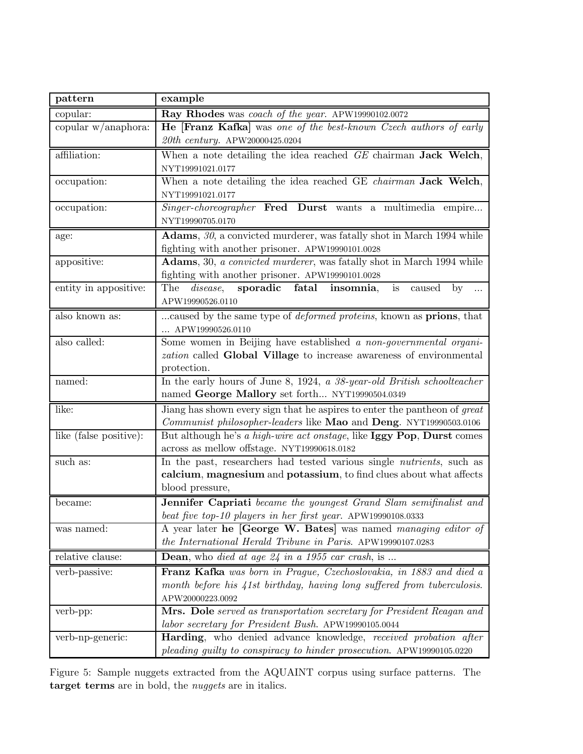| pattern                | example                                                                             |  |  |
|------------------------|-------------------------------------------------------------------------------------|--|--|
| copular:               | Ray Rhodes was coach of the year. APW19990102.0072                                  |  |  |
| copular $w/$ anaphora: | He [Franz Kafka] was one of the best-known Czech authors of early                   |  |  |
|                        | $20th\ century.$ APW20000425.0204                                                   |  |  |
| affiliation:           | When a note detailing the idea reached GE chairman Jack Welch,                      |  |  |
|                        | NYT19991021.0177                                                                    |  |  |
| occupation:            | When a note detailing the idea reached GE chairman Jack Welch,                      |  |  |
|                        | NYT19991021.0177                                                                    |  |  |
| occupation:            | Singer-choreographer Fred Durst wants a multimedia empire                           |  |  |
|                        | NYT19990705.0170                                                                    |  |  |
| age:                   | Adams, 30, a convicted murderer, was fatally shot in March 1994 while               |  |  |
|                        | fighting with another prisoner. APW19990101.0028                                    |  |  |
| appositive:            | Adams, 30, a convicted murderer, was fatally shot in March 1994 while               |  |  |
|                        | fighting with another prisoner. APW19990101.0028                                    |  |  |
| entity in appositive:  | sporadic fatal insomnia,<br>The <i>disease</i> ,<br>is<br>caused<br>$\mathbf{b}$    |  |  |
|                        | APW19990526.0110                                                                    |  |  |
| also known as:         | caused by the same type of <i>deformed proteins</i> , known as <b>prions</b> , that |  |  |
|                        | APW19990526.0110                                                                    |  |  |
| also called:           | Some women in Beijing have established a non-governmental organi-                   |  |  |
|                        | zation called Global Village to increase awareness of environmental                 |  |  |
|                        | protection.                                                                         |  |  |
| named:                 | In the early hours of June 8, 1924, a 38-year-old British schoolteacher             |  |  |
|                        | named George Mallory set forth NYT19990504.0349                                     |  |  |
| like:                  | Jiang has shown every sign that he aspires to enter the pantheon of great           |  |  |
|                        | Communist philosopher-leaders like Mao and Deng. NYT19990503.0106                   |  |  |
| like (false positive): | But although he's a high-wire act onstage, like Iggy Pop, Durst comes               |  |  |
|                        | across as mellow offstage. NYT19990618.0182                                         |  |  |
| such as:               | In the past, researchers had tested various single <i>nutrients</i> , such as       |  |  |
|                        | calcium, magnesium and potassium, to find clues about what affects                  |  |  |
|                        | blood pressure,                                                                     |  |  |
| became:                | Jennifer Capriati became the youngest Grand Slam semifinalist and                   |  |  |
|                        | beat five top-10 players in her first year. APW19990108.0333                        |  |  |
| was named:             | A year later he [George W. Bates] was named managing editor of                      |  |  |
|                        | the International Herald Tribune in Paris. APW19990107.0283                         |  |  |
| relative clause:       | Dean, who died at age 24 in a 1955 car crash, is                                    |  |  |
| verb-passive:          | Franz Kafka was born in Prague, Czechoslovakia, in 1883 and died a                  |  |  |
|                        | month before his 41st birthday, having long suffered from tuberculosis.             |  |  |
|                        | APW20000223.0092                                                                    |  |  |
| verb-pp:               | Mrs. Dole served as transportation secretary for President Reagan and               |  |  |
|                        | labor secretary for President Bush. APW19990105.0044                                |  |  |
| verb-np-generic:       | Harding, who denied advance knowledge, received probation after                     |  |  |
|                        | pleading guilty to conspiracy to hinder prosecution. APW19990105.0220               |  |  |

Figure 5: Sample nuggets extracted from the AQUAINT corpus using surface patterns. The target terms are in bold, the *nuggets* are in italics.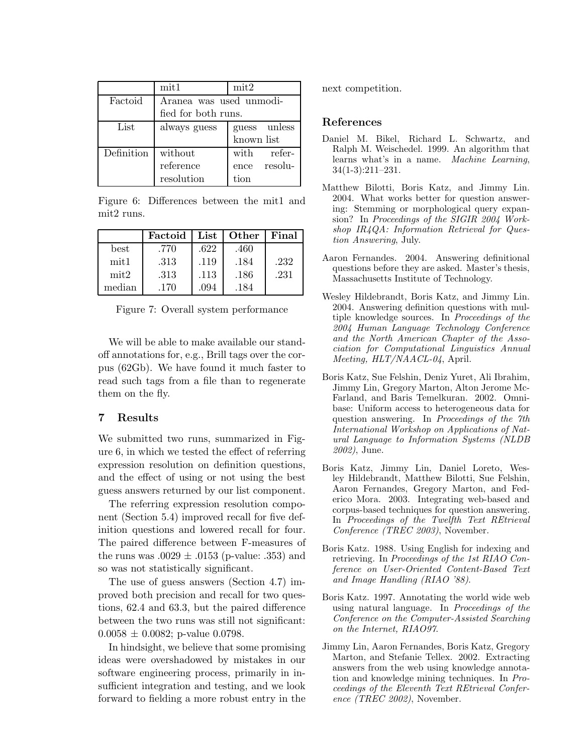|            | mit1                    | mit2         |  |
|------------|-------------------------|--------------|--|
| Factoid    | Aranea was used unmodi- |              |  |
|            | fied for both runs.     |              |  |
| List       | always guess            | guess unless |  |
|            | known list              |              |  |
| Definition | without                 | with refer-  |  |
|            | reference               | ence resolu- |  |
|            | resolution              | tion         |  |

Figure 6: Differences between the mit1 and mit2 runs.

|                  | Factoid | List | Other | Final |
|------------------|---------|------|-------|-------|
| best             | .770    | .622 | .460  |       |
| mit <sub>1</sub> | .313    | .119 | .184  | .232  |
| $\text{mit}2$    | .313    | .113 | .186  | .231  |
| median           | .170    | .094 | .184  |       |

Figure 7: Overall system performance

We will be able to make available our standoff annotations for, e.g., Brill tags over the corpus (62Gb). We have found it much faster to read such tags from a file than to regenerate them on the fly.

### 7 Results

We submitted two runs, summarized in Figure 6, in which we tested the effect of referring expression resolution on definition questions, and the effect of using or not using the best guess answers returned by our list component.

The referring expression resolution component (Section 5.4) improved recall for five definition questions and lowered recall for four. The paired difference between F-measures of the runs was  $.0029 \pm .0153$  (p-value: .353) and so was not statistically significant.

The use of guess answers (Section 4.7) improved both precision and recall for two questions, 62.4 and 63.3, but the paired difference between the two runs was still not significant:  $0.0058 \pm 0.0082$ ; p-value 0.0798.

In hindsight, we believe that some promising ideas were overshadowed by mistakes in our software engineering process, primarily in insufficient integration and testing, and we look forward to fielding a more robust entry in the next competition.

### References

- Daniel M. Bikel, Richard L. Schwartz, and Ralph M. Weischedel. 1999. An algorithm that learns what's in a name. Machine Learning, 34(1-3):211–231.
- Matthew Bilotti, Boris Katz, and Jimmy Lin. 2004. What works better for question answering: Stemming or morphological query expansion? In Proceedings of the SIGIR 2004 Workshop IR4QA: Information Retrieval for Question Answering, July.
- Aaron Fernandes. 2004. Answering definitional questions before they are asked. Master's thesis, Massachusetts Institute of Technology.
- Wesley Hildebrandt, Boris Katz, and Jimmy Lin. 2004. Answering definition questions with multiple knowledge sources. In Proceedings of the 2004 Human Language Technology Conference and the North American Chapter of the Association for Computational Linguistics Annual Meeting, HLT/NAACL-04, April.
- Boris Katz, Sue Felshin, Deniz Yuret, Ali Ibrahim, Jimmy Lin, Gregory Marton, Alton Jerome Mc-Farland, and Baris Temelkuran. 2002. Omnibase: Uniform access to heterogeneous data for question answering. In Proceedings of the 7th International Workshop on Applications of Natural Language to Information Systems (NLDB 2002), June.
- Boris Katz, Jimmy Lin, Daniel Loreto, Wesley Hildebrandt, Matthew Bilotti, Sue Felshin, Aaron Fernandes, Gregory Marton, and Federico Mora. 2003. Integrating web-based and corpus-based techniques for question answering. In Proceedings of the Twelfth Text REtrieval Conference (TREC 2003), November.
- Boris Katz. 1988. Using English for indexing and retrieving. In Proceedings of the 1st RIAO Conference on User-Oriented Content-Based Text and Image Handling (RIAO '88).
- Boris Katz. 1997. Annotating the world wide web using natural language. In Proceedings of the Conference on the Computer-Assisted Searching on the Internet, RIAO97.
- Jimmy Lin, Aaron Fernandes, Boris Katz, Gregory Marton, and Stefanie Tellex. 2002. Extracting answers from the web using knowledge annotation and knowledge mining techniques. In Proceedings of the Eleventh Text REtrieval Conference (TREC 2002), November.